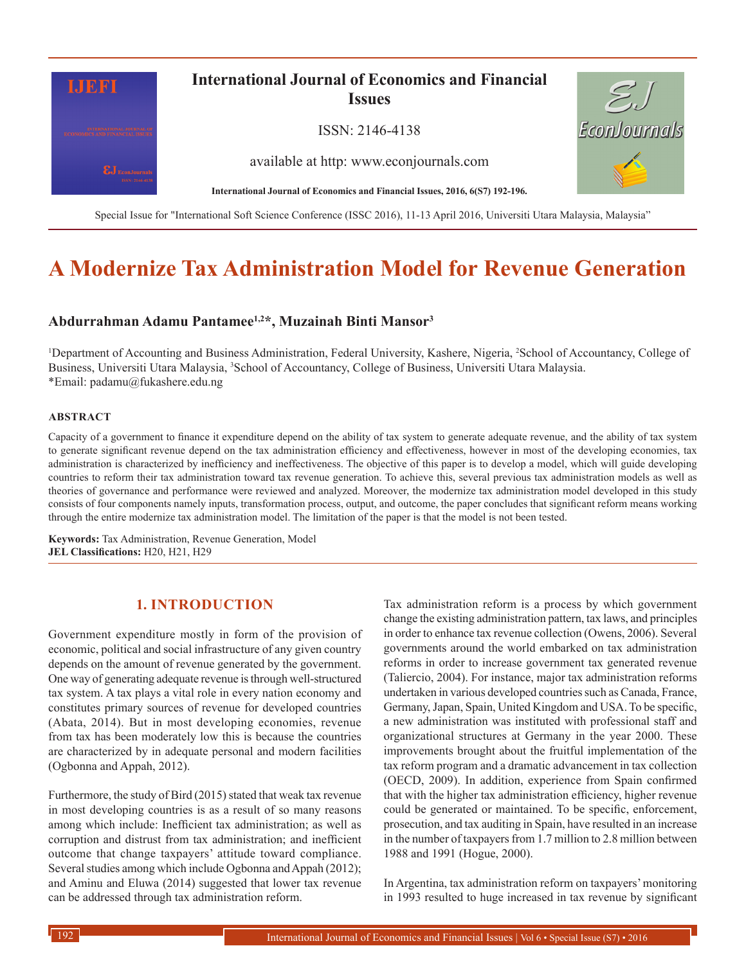

# **A Modernize Tax Administration Model for Revenue Generation**

# **Abdurrahman Adamu Pantamee1,2\*, Muzainah Binti Mansor3**

<sup>1</sup>Department of Accounting and Business Administration, Federal University, Kashere, Nigeria, <sup>2</sup>School of Accountancy, College of Business, Universiti Utara Malaysia, <sup>3</sup>School of Accountancy, College of Business, Universiti Utara Malaysia. \*Email: padamu@fukashere.edu.ng

#### **ABSTRACT**

Capacity of a government to finance it expenditure depend on the ability of tax system to generate adequate revenue, and the ability of tax system to generate significant revenue depend on the tax administration efficiency and effectiveness, however in most of the developing economies, tax administration is characterized by inefficiency and ineffectiveness. The objective of this paper is to develop a model, which will guide developing countries to reform their tax administration toward tax revenue generation. To achieve this, several previous tax administration models as well as theories of governance and performance were reviewed and analyzed. Moreover, the modernize tax administration model developed in this study consists of four components namely inputs, transformation process, output, and outcome, the paper concludes that significant reform means working through the entire modernize tax administration model. The limitation of the paper is that the model is not been tested.

**Keywords:** Tax Administration, Revenue Generation, Model **JEL Classifications:** H20, H21, H29

## **1. INTRODUCTION**

Government expenditure mostly in form of the provision of economic, political and social infrastructure of any given country depends on the amount of revenue generated by the government. One way of generating adequate revenue is through well-structured tax system. A tax plays a vital role in every nation economy and constitutes primary sources of revenue for developed countries (Abata, 2014). But in most developing economies, revenue from tax has been moderately low this is because the countries are characterized by in adequate personal and modern facilities (Ogbonna and Appah, 2012).

Furthermore, the study of Bird (2015) stated that weak tax revenue in most developing countries is as a result of so many reasons among which include: Inefficient tax administration; as well as corruption and distrust from tax administration; and inefficient outcome that change taxpayers' attitude toward compliance. Several studies among which include Ogbonna and Appah (2012); and Aminu and Eluwa (2014) suggested that lower tax revenue can be addressed through tax administration reform.

Tax administration reform is a process by which government change the existing administration pattern, tax laws, and principles in order to enhance tax revenue collection (Owens, 2006). Several governments around the world embarked on tax administration reforms in order to increase government tax generated revenue (Taliercio, 2004). For instance, major tax administration reforms undertaken in various developed countries such as Canada, France, Germany, Japan, Spain, United Kingdom and USA. To be specific, a new administration was instituted with professional staff and organizational structures at Germany in the year 2000. These improvements brought about the fruitful implementation of the tax reform program and a dramatic advancement in tax collection (OECD, 2009). In addition, experience from Spain confirmed that with the higher tax administration efficiency, higher revenue could be generated or maintained. To be specific, enforcement, prosecution, and tax auditing in Spain, have resulted in an increase in the number of taxpayers from 1.7 million to 2.8 million between 1988 and 1991 (Hogue, 2000).

In Argentina, tax administration reform on taxpayers' monitoring in 1993 resulted to huge increased in tax revenue by significant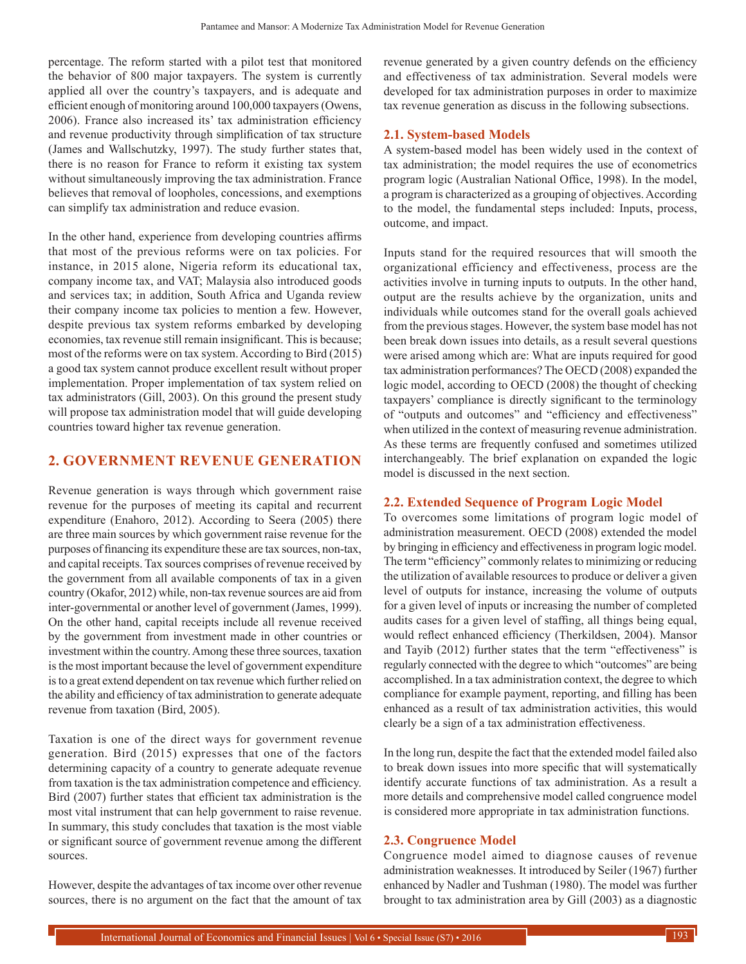percentage. The reform started with a pilot test that monitored the behavior of 800 major taxpayers. The system is currently applied all over the country's taxpayers, and is adequate and efficient enough of monitoring around 100,000 taxpayers (Owens, 2006). France also increased its' tax administration efficiency and revenue productivity through simplification of tax structure (James and Wallschutzky, 1997). The study further states that, there is no reason for France to reform it existing tax system without simultaneously improving the tax administration. France believes that removal of loopholes, concessions, and exemptions can simplify tax administration and reduce evasion.

In the other hand, experience from developing countries affirms that most of the previous reforms were on tax policies. For instance, in 2015 alone, Nigeria reform its educational tax, company income tax, and VAT; Malaysia also introduced goods and services tax; in addition, South Africa and Uganda review their company income tax policies to mention a few. However, despite previous tax system reforms embarked by developing economies, tax revenue still remain insignificant. This is because; most of the reforms were on tax system. According to Bird (2015) a good tax system cannot produce excellent result without proper implementation. Proper implementation of tax system relied on tax administrators (Gill, 2003). On this ground the present study will propose tax administration model that will guide developing countries toward higher tax revenue generation.

## **2. GOVERNMENT REVENUE GENERATION**

Revenue generation is ways through which government raise revenue for the purposes of meeting its capital and recurrent expenditure (Enahoro, 2012). According to Seera (2005) there are three main sources by which government raise revenue for the purposes of financing its expenditure these are tax sources, non-tax, and capital receipts. Tax sources comprises of revenue received by the government from all available components of tax in a given country (Okafor, 2012) while, non-tax revenue sources are aid from inter-governmental or another level of government (James, 1999). On the other hand, capital receipts include all revenue received by the government from investment made in other countries or investment within the country. Among these three sources, taxation is the most important because the level of government expenditure is to a great extend dependent on tax revenue which further relied on the ability and efficiency of tax administration to generate adequate revenue from taxation (Bird, 2005).

Taxation is one of the direct ways for government revenue generation. Bird (2015) expresses that one of the factors determining capacity of a country to generate adequate revenue from taxation is the tax administration competence and efficiency. Bird (2007) further states that efficient tax administration is the most vital instrument that can help government to raise revenue. In summary, this study concludes that taxation is the most viable or significant source of government revenue among the different sources.

However, despite the advantages of tax income over other revenue sources, there is no argument on the fact that the amount of tax revenue generated by a given country defends on the efficiency and effectiveness of tax administration. Several models were developed for tax administration purposes in order to maximize tax revenue generation as discuss in the following subsections.

#### **2.1. System-based Models**

A system-based model has been widely used in the context of tax administration; the model requires the use of econometrics program logic (Australian National Office, 1998). In the model, a program is characterized as a grouping of objectives. According to the model, the fundamental steps included: Inputs, process, outcome, and impact.

Inputs stand for the required resources that will smooth the organizational efficiency and effectiveness, process are the activities involve in turning inputs to outputs. In the other hand, output are the results achieve by the organization, units and individuals while outcomes stand for the overall goals achieved from the previous stages. However, the system base model has not been break down issues into details, as a result several questions were arised among which are: What are inputs required for good tax administration performances? The OECD (2008) expanded the logic model, according to OECD (2008) the thought of checking taxpayers' compliance is directly significant to the terminology of "outputs and outcomes" and "efficiency and effectiveness" when utilized in the context of measuring revenue administration. As these terms are frequently confused and sometimes utilized interchangeably. The brief explanation on expanded the logic model is discussed in the next section.

#### **2.2. Extended Sequence of Program Logic Model**

To overcomes some limitations of program logic model of administration measurement. OECD (2008) extended the model by bringing in efficiency and effectiveness in program logic model. The term "efficiency" commonly relates to minimizing or reducing the utilization of available resources to produce or deliver a given level of outputs for instance, increasing the volume of outputs for a given level of inputs or increasing the number of completed audits cases for a given level of staffing, all things being equal, would reflect enhanced efficiency (Therkildsen, 2004). Mansor and Tayib (2012) further states that the term "effectiveness" is regularly connected with the degree to which "outcomes" are being accomplished. In a tax administration context, the degree to which compliance for example payment, reporting, and filling has been enhanced as a result of tax administration activities, this would clearly be a sign of a tax administration effectiveness.

In the long run, despite the fact that the extended model failed also to break down issues into more specific that will systematically identify accurate functions of tax administration. As a result a more details and comprehensive model called congruence model is considered more appropriate in tax administration functions.

# **2.3. Congruence Model**

Congruence model aimed to diagnose causes of revenue administration weaknesses. It introduced by Seiler (1967) further enhanced by Nadler and Tushman (1980). The model was further brought to tax administration area by Gill (2003) as a diagnostic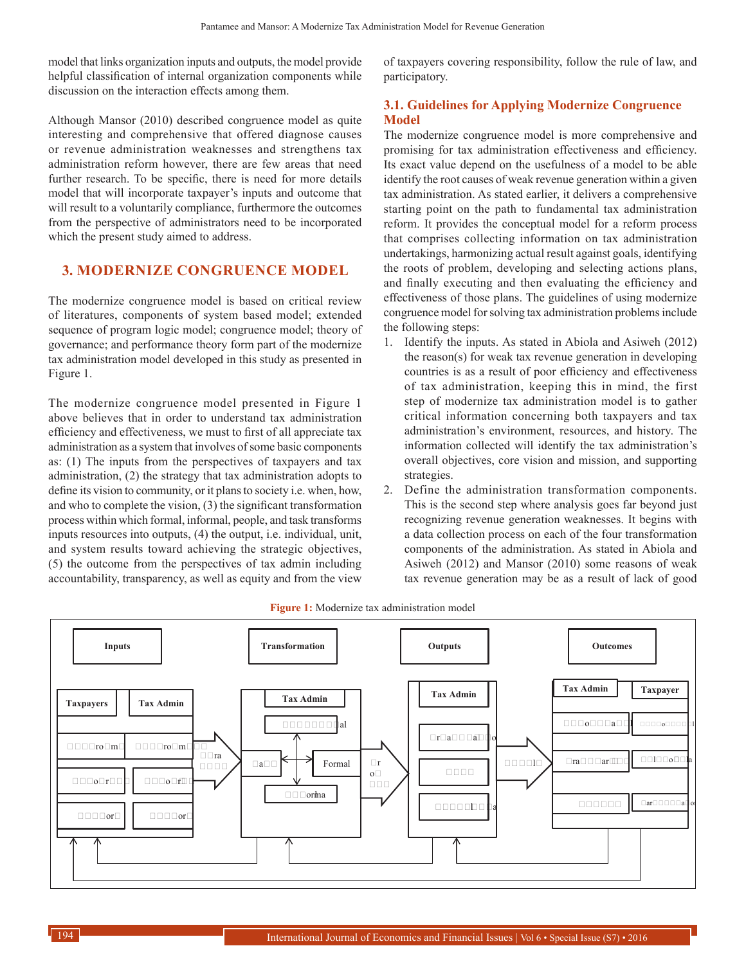model that links organization inputs and outputs, the model provide helpful classification of internal organization components while discussion on the interaction effects among them.

Although Mansor (2010) described congruence model as quite interesting and comprehensive that offered diagnose causes or revenue administration weaknesses and strengthens tax administration reform however, there are few areas that need further research. To be specific, there is need for more details model that will incorporate taxpayer's inputs and outcome that will result to a voluntarily compliance, furthermore the outcomes from the perspective of administrators need to be incorporated which the present study aimed to address.

## **3. MODERNIZE CONGRUENCE MODEL**

The modernize congruence model is based on critical review of literatures, components of system based model; extended sequence of program logic model; congruence model; theory of governance; and performance theory form part of the modernize tax administration model developed in this study as presented in Figure 1.

The modernize congruence model presented in Figure 1 above believes that in order to understand tax administration efficiency and effectiveness, we must to first of all appreciate tax administration as a system that involves of some basic components as: (1) The inputs from the perspectives of taxpayers and tax administration, (2) the strategy that tax administration adopts to define its vision to community, or it plans to society i.e. when, how, and who to complete the vision, (3) the significant transformation process within which formal, informal, people, and task transforms inputs resources into outputs, (4) the output, i.e. individual, unit, and system results toward achieving the strategic objectives, (5) the outcome from the perspectives of tax admin including accountability, transparency, as well as equity and from the view of taxpayers covering responsibility, follow the rule of law, and participatory.

# **3.1. Guidelines for Applying Modernize Congruence Model**

The modernize congruence model is more comprehensive and promising for tax administration effectiveness and efficiency. Its exact value depend on the usefulness of a model to be able identify the root causes of weak revenue generation within a given tax administration. As stated earlier, it delivers a comprehensive starting point on the path to fundamental tax administration reform. It provides the conceptual model for a reform process that comprises collecting information on tax administration undertakings, harmonizing actual result against goals, identifying the roots of problem, developing and selecting actions plans, and finally executing and then evaluating the efficiency and effectiveness of those plans. The guidelines of using modernize congruence model for solving tax administration problems include the following steps:

- 1. Identify the inputs. As stated in Abiola and Asiweh (2012) the reason(s) for weak tax revenue generation in developing countries is as a result of poor efficiency and effectiveness of tax administration, keeping this in mind, the first step of modernize tax administration model is to gather critical information concerning both taxpayers and tax administration's environment, resources, and history. The information collected will identify the tax administration's overall objectives, core vision and mission, and supporting strategies.
- 2. Define the administration transformation components. This is the second step where analysis goes far beyond just recognizing revenue generation weaknesses. It begins with a data collection process on each of the four transformation components of the administration. As stated in Abiola and Asiweh (2012) and Mansor (2010) some reasons of weak tax revenue generation may be as a result of lack of good



#### **Figure 1:** Modernize tax administration model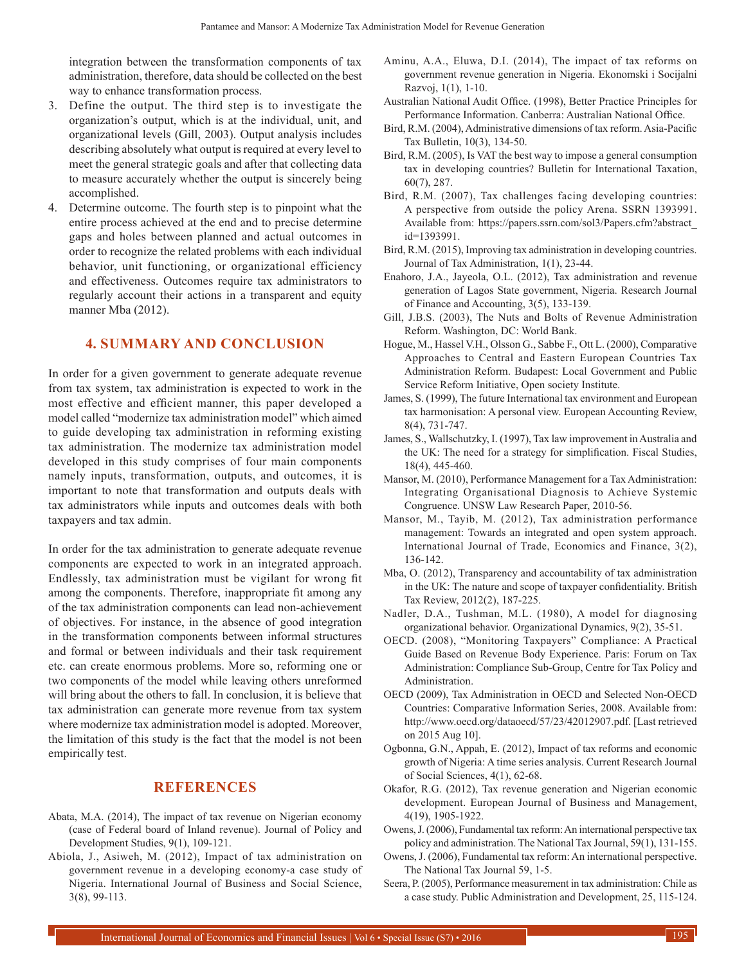integration between the transformation components of tax administration, therefore, data should be collected on the best way to enhance transformation process.

- 3. Define the output. The third step is to investigate the organization's output, which is at the individual, unit, and organizational levels (Gill, 2003). Output analysis includes describing absolutely what output is required at every level to meet the general strategic goals and after that collecting data to measure accurately whether the output is sincerely being accomplished.
- 4. Determine outcome. The fourth step is to pinpoint what the entire process achieved at the end and to precise determine gaps and holes between planned and actual outcomes in order to recognize the related problems with each individual behavior, unit functioning, or organizational efficiency and effectiveness. Outcomes require tax administrators to regularly account their actions in a transparent and equity manner Mba (2012).

# **4. SUMMARY AND CONCLUSION**

In order for a given government to generate adequate revenue from tax system, tax administration is expected to work in the most effective and efficient manner, this paper developed a model called "modernize tax administration model" which aimed to guide developing tax administration in reforming existing tax administration. The modernize tax administration model developed in this study comprises of four main components namely inputs, transformation, outputs, and outcomes, it is important to note that transformation and outputs deals with tax administrators while inputs and outcomes deals with both taxpayers and tax admin.

In order for the tax administration to generate adequate revenue components are expected to work in an integrated approach. Endlessly, tax administration must be vigilant for wrong fit among the components. Therefore, inappropriate fit among any of the tax administration components can lead non-achievement of objectives. For instance, in the absence of good integration in the transformation components between informal structures and formal or between individuals and their task requirement etc. can create enormous problems. More so, reforming one or two components of the model while leaving others unreformed will bring about the others to fall. In conclusion, it is believe that tax administration can generate more revenue from tax system where modernize tax administration model is adopted. Moreover, the limitation of this study is the fact that the model is not been empirically test.

#### **REFERENCES**

- Abata, M.A. (2014), The impact of tax revenue on Nigerian economy (case of Federal board of Inland revenue). Journal of Policy and Development Studies, 9(1), 109-121.
- Abiola, J., Asiweh, M. (2012), Impact of tax administration on government revenue in a developing economy-a case study of Nigeria. International Journal of Business and Social Science, 3(8), 99-113.
- Aminu, A.A., Eluwa, D.I. (2014), The impact of tax reforms on government revenue generation in Nigeria. Ekonomski i Socijalni Razvoj, 1(1), 1-10.
- Australian National Audit Office. (1998), Better Practice Principles for Performance Information. Canberra: Australian National Office.
- Bird, R.M. (2004), Administrative dimensions of tax reform. Asia-Pacific Tax Bulletin, 10(3), 134-50.
- Bird, R.M. (2005), Is VAT the best way to impose a general consumption tax in developing countries? Bulletin for International Taxation, 60(7), 287.
- Bird, R.M. (2007), Tax challenges facing developing countries: A perspective from outside the policy Arena. SSRN 1393991. Available from: https://papers.ssrn.com/sol3/Papers.cfm?abstract\_ id=1393991.
- Bird, R.M. (2015), Improving tax administration in developing countries. Journal of Tax Administration, 1(1), 23-44.
- Enahoro, J.A., Jayeola, O.L. (2012), Tax administration and revenue generation of Lagos State government, Nigeria. Research Journal of Finance and Accounting, 3(5), 133-139.
- Gill, J.B.S. (2003), The Nuts and Bolts of Revenue Administration Reform. Washington, DC: World Bank.
- Hogue, M., Hassel V.H., Olsson G., Sabbe F., Ott L. (2000), Comparative Approaches to Central and Eastern European Countries Tax Administration Reform. Budapest: Local Government and Public Service Reform Initiative, Open society Institute.
- James, S. (1999), The future International tax environment and European tax harmonisation: A personal view. European Accounting Review, 8(4), 731-747.
- James, S., Wallschutzky, I. (1997), Tax law improvement in Australia and the UK: The need for a strategy for simplification. Fiscal Studies, 18(4), 445-460.
- Mansor, M. (2010), Performance Management for a Tax Administration: Integrating Organisational Diagnosis to Achieve Systemic Congruence. UNSW Law Research Paper, 2010-56.
- Mansor, M., Tayib, M. (2012), Tax administration performance management: Towards an integrated and open system approach. International Journal of Trade, Economics and Finance, 3(2), 136-142.
- Mba, O. (2012), Transparency and accountability of tax administration in the UK: The nature and scope of taxpayer confidentiality. British Tax Review, 2012(2), 187-225.
- Nadler, D.A., Tushman, M.L. (1980), A model for diagnosing organizational behavior. Organizational Dynamics, 9(2), 35-51.
- OECD. (2008), "Monitoring Taxpayers" Compliance: A Practical Guide Based on Revenue Body Experience. Paris: Forum on Tax Administration: Compliance Sub-Group, Centre for Tax Policy and Administration.
- OECD (2009), Tax Administration in OECD and Selected Non-OECD Countries: Comparative Information Series, 2008. Available from: http://www.oecd.org/dataoecd/57/23/42012907.pdf. [Last retrieved on 2015 Aug 10].
- Ogbonna, G.N., Appah, E. (2012), Impact of tax reforms and economic growth of Nigeria: A time series analysis. Current Research Journal of Social Sciences, 4(1), 62-68.
- Okafor, R.G. (2012), Tax revenue generation and Nigerian economic development. European Journal of Business and Management, 4(19), 1905-1922.
- Owens, J. (2006), Fundamental tax reform: An international perspective tax policy and administration. The National Tax Journal, 59(1), 131-155.
- Owens, J. (2006), Fundamental tax reform: An international perspective. The National Tax Journal 59, 1-5.
- Seera, P. (2005), Performance measurement in tax administration: Chile as a case study. Public Administration and Development, 25, 115-124.